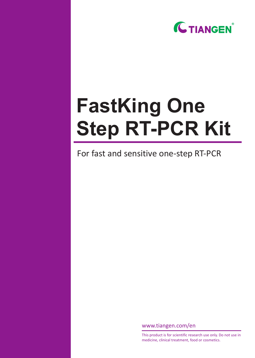

# **FastKing One Step RT-PCR Kit**

For fast and sensitive one-step RT-PCR

www.tiangen.com/en

This product is for scientific research use only. Do not use in medicine, clinical treatment, food or cosmetics.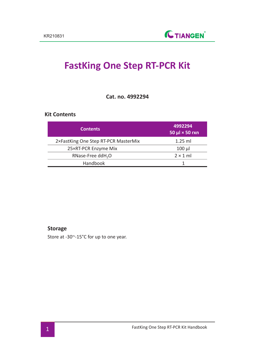## **FastKing One Step RT-PCR Kit**

**Cat. no. 4992294**

### **Kit Contents**

| <b>Contents</b>                      | 4992294<br>$50 \mu$ $\times$ 50 rxn |
|--------------------------------------|-------------------------------------|
| 2×FastKing One Step RT-PCR MasterMix | $1.25$ ml                           |
| 25×RT-PCR Enzyme Mix                 | $100$ $\mu$                         |
| RNase-Free ddH <sub>2</sub> O        | $2 \times 1$ ml                     |
| Handbook                             |                                     |

#### **Storage**

Store at -30~-15°C for up to one year.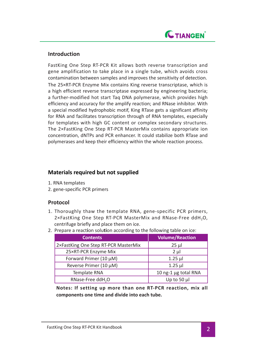

#### **Introduction**

FastKing One Step RT-PCR Kit allows both reverse transcription and gene amplification to take place in a single tube, which avoids cross contamination between samples and improves the sensitivity of detection. The 25×RT-PCR Enzyme Mix contains King reverse transcriptase, which is a high efficient reverse transcriptase expressed by engineering bacteria; a further-modified hot start Taq DNA polymerase, which provides high efficiency and accuracy for the amplify reaction; and RNase inhibitor. With a special modified hydrophobic motif, King RTase gets a significant affinity for RNA and facilitates transcription through of RNA templates, especially for templates with high GC content or complex secondary structures. The 2×FastKing One Step RT-PCR MasterMix contains appropriate ion concentration, dNTPs and PCR enhancer. It could stabilize both RTase and polymerases and keep their efficiency within the whole reaction process.

#### **Materials required but not supplied**

- 1. RNA templates
- 2. gene-specific PCR primers

### **Protocol**

- 1. Thoroughly thaw the template RNA, gene-specific PCR primers,  $2 \times$ FastKing One Step RT-PCR MasterMix and RNase-Free ddH<sub>2</sub>O, centrifuge briefly and place them on ice.
- 2. Prepare a react**i**on solu**ti**on according to the following table on ice:

| <b>Contents</b>                      | <b>Volume/Reaction</b> |
|--------------------------------------|------------------------|
| 2×FastKing One Step RT-PCR MasterMix | 25 µl                  |
| 25×RT-PCR Enzyme Mix                 | $2 \mu$                |
| Forward Primer (10 µM)               | $1.25$ µ               |
| Reverse Primer (10 µM)               | $1.25$ µ               |
| <b>Template RNA</b>                  | 10 ng-1 µg total RNA   |
| RNase-Free ddH <sub>2</sub> O        | Up to 50 $\mu$         |

**Notes: If setting up more than one RT-PCR reaction, mix all components one time and divide into each tube.**

FastKing One Step RT-PCR Kit Handbook